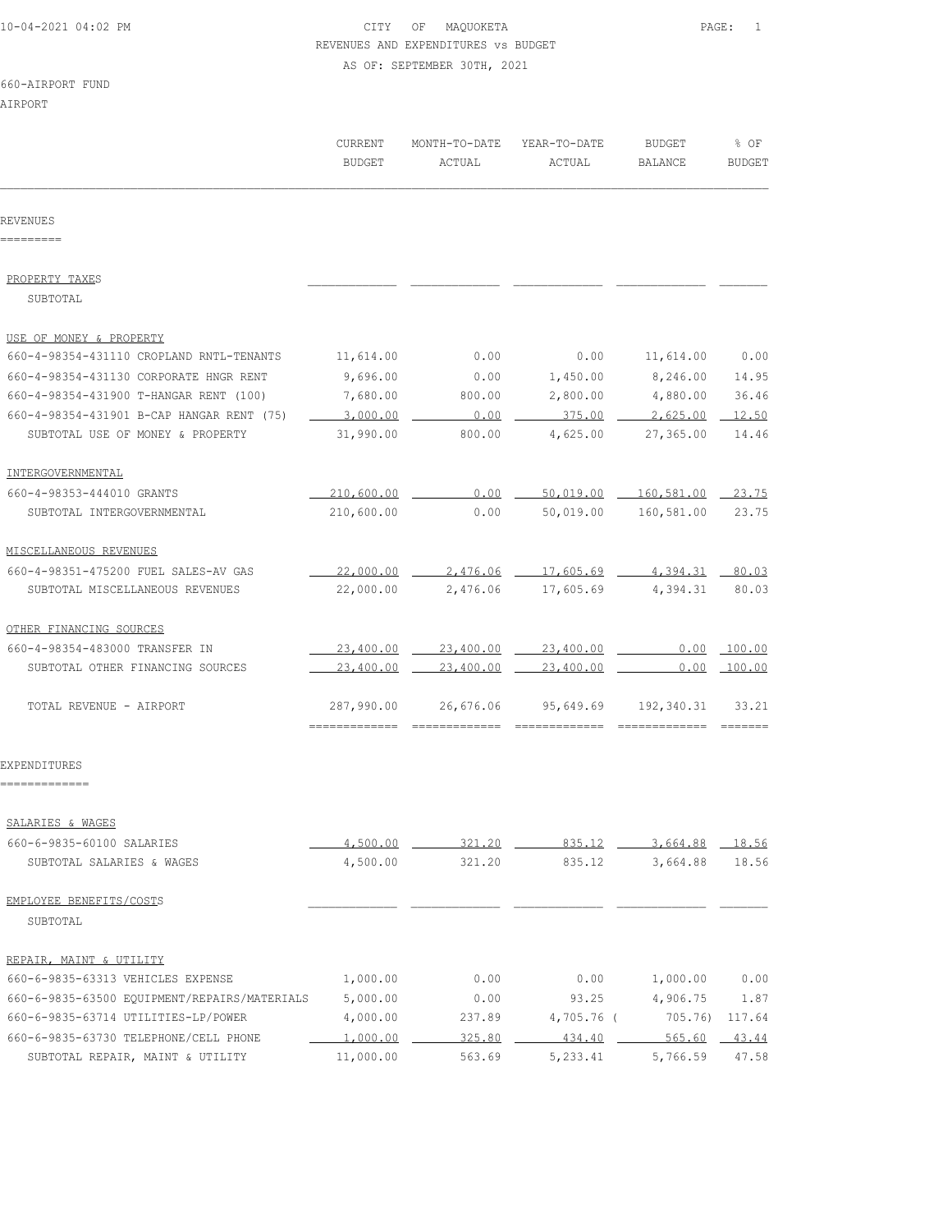## 10-04-2021 04:02 PM CITY OF MAQUOKETA PAGE: 1 REVENUES AND EXPENDITURES vs BUDGET AS OF: SEPTEMBER 30TH, 2021

660-AIRPORT FUND

AIRPORT

|                                              | CURRENT<br>BUDGET                     | MONTH-TO-DATE<br>ACTUAL | YEAR-TO-DATE<br>ACTUAL | BUDGET<br>BALANCE | % OF<br><b>BUDGET</b> |
|----------------------------------------------|---------------------------------------|-------------------------|------------------------|-------------------|-----------------------|
| REVENUES<br>=========                        |                                       |                         |                        |                   |                       |
|                                              |                                       |                         |                        |                   |                       |
| PROPERTY TAXES                               |                                       |                         |                        |                   |                       |
| SUBTOTAL                                     |                                       |                         |                        |                   |                       |
| USE OF MONEY & PROPERTY                      |                                       |                         |                        |                   |                       |
| 660-4-98354-431110 CROPLAND RNTL-TENANTS     | 11,614.00                             | 0.00                    | 0.00                   | 11,614.00         | 0.00                  |
| 660-4-98354-431130 CORPORATE HNGR RENT       | 9,696.00                              | 0.00                    | 1,450.00               | 8,246.00          | 14.95                 |
| 660-4-98354-431900 T-HANGAR RENT (100)       | 7,680.00                              | 800.00                  | 2,800.00               | 4,880.00          | 36.46                 |
| 660-4-98354-431901 B-CAP HANGAR RENT (75)    | 3,000.00                              | 0.00                    | 375.00                 | 2,625.00          | 12.50                 |
| SUBTOTAL USE OF MONEY & PROPERTY             | 31,990.00                             | 800.00                  | 4,625.00               | 27,365.00         | 14.46                 |
| INTERGOVERNMENTAL                            |                                       |                         |                        |                   |                       |
| 660-4-98353-444010 GRANTS                    | 210,600.00                            | 0.00                    | 50,019.00              | 160,581.00        | 23.75                 |
| SUBTOTAL INTERGOVERNMENTAL                   | 210,600.00                            | 0.00                    | 50,019.00              | 160,581.00        | 23.75                 |
| MISCELLANEOUS REVENUES                       |                                       |                         |                        |                   |                       |
| 660-4-98351-475200 FUEL SALES-AV GAS         | $-22,000.00$ $-$                      |                         | 2,476.06 17,605.69     | 4,394.31          | 80.03                 |
| SUBTOTAL MISCELLANEOUS REVENUES              | 22,000.00                             | 2,476.06                | 17,605.69              | 4,394.31          | 80.03                 |
| OTHER FINANCING SOURCES                      |                                       |                         |                        |                   |                       |
| 660-4-98354-483000 TRANSFER IN               | 23,400.00                             | 23,400.00               | 23,400.00              | 0.00              | 100.00                |
| SUBTOTAL OTHER FINANCING SOURCES             | 23,400.00                             | 23,400.00               | 23,400.00              | 0.00              | 100.00                |
| TOTAL REVENUE - AIRPORT                      | 287,990.00<br>-------------- -------- | 26,676.06               | 95,649.69              | 192,340.31        | 33.21                 |
| EXPENDITURES<br>=============                |                                       |                         |                        |                   |                       |
| SALARIES & WAGES                             |                                       |                         |                        |                   |                       |
| 660-6-9835-60100 SALARIES                    | 4,500.00                              | 321.20                  | 835.12                 | 3,664.88          | 18.56                 |
| SUBTOTAL SALARIES & WAGES                    | 4,500.00                              | 321.20                  | 835.12                 | 3,664.88          | 18.56                 |
| EMPLOYEE BENEFITS/COSTS                      |                                       |                         |                        |                   |                       |
| SUBTOTAL                                     |                                       |                         |                        |                   |                       |
| REPAIR, MAINT & UTILITY                      |                                       |                         |                        |                   |                       |
| 660-6-9835-63313 VEHICLES EXPENSE            | 1,000.00                              | 0.00                    | 0.00                   | 1,000.00          | 0.00                  |
| 660-6-9835-63500 EQUIPMENT/REPAIRS/MATERIALS | 5,000.00                              | 0.00                    | 93.25                  | 4,906.75          | 1.87                  |
| 660-6-9835-63714 UTILITIES-LP/POWER          | 4,000.00                              | 237.89                  | 4,705.76 (             | 705.76            | 117.64                |
| 660-6-9835-63730 TELEPHONE/CELL PHONE        | 1,000.00                              | 325.80                  | 434.40                 | 565.60            | 43.44                 |
| SUBTOTAL REPAIR, MAINT & UTILITY             | 11,000.00                             | 563.69                  | 5,233.41               | 5,766.59          | 47.58                 |